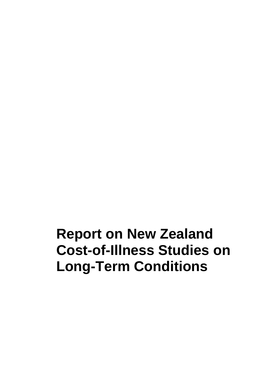# **Report on New Zealand Cost-of-Illness Studies on Long-Term Conditions**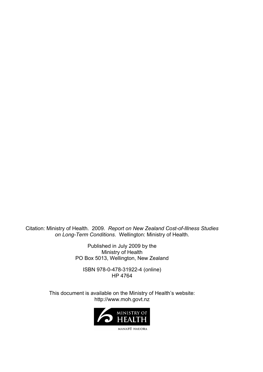Citation: Ministry of Health. 2009. *Report on New Zealand Cost-of-Illness Studies on Long-Term Conditions*. Wellington: Ministry of Health.

> Published in July 2009 by the Ministry of Health PO Box 5013, Wellington, New Zealand

ISBN 978-0-478-31922-4 (online) HP 4764

This document is available on the Ministry of Health's website: http://www.moh.govt.nz

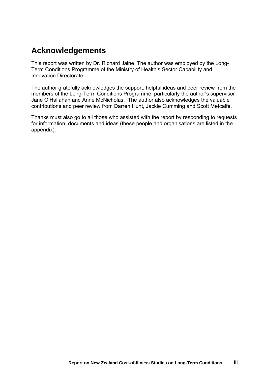# **Acknowledgements**

This report was written by Dr. Richard Jaine. The author was employed by the Long-Term Conditions Programme of the Ministry of Health's Sector Capability and Innovation Directorate.

The author gratefully acknowledges the support, helpful ideas and peer review from the members of the Long-Term Conditions Programme, particularly the author's supervisor Jane O'Hallahan and Anne McNicholas. The author also acknowledges the valuable contributions and peer review from Darren Hunt, Jackie Cumming and Scott Metcalfe.

Thanks must also go to all those who assisted with the report by responding to requests for information, documents and ideas (these people and organisations are listed in the appendix).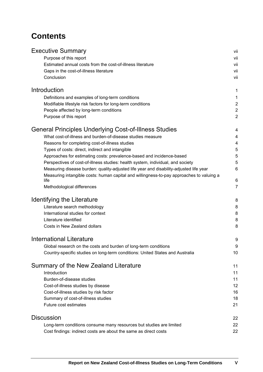# **Contents**

| <b>Executive Summary</b>                                                                 | vii                     |
|------------------------------------------------------------------------------------------|-------------------------|
| Purpose of this report                                                                   | vii                     |
| Estimated annual costs from the cost-of-illness literature                               | vii                     |
| Gaps in the cost-of-illness literature                                                   | vii                     |
| Conclusion                                                                               | vii                     |
| Introduction                                                                             | 1                       |
| Definitions and examples of long-term conditions                                         | 1                       |
| Modifiable lifestyle risk factors for long-term conditions                               | $\overline{\mathbf{c}}$ |
| People affected by long-term conditions                                                  | $\overline{a}$          |
| Purpose of this report                                                                   | $\overline{c}$          |
| General Principles Underlying Cost-of-Illness Studies                                    | 4                       |
| What cost-of-illness and burden-of-disease studies measure                               | 4                       |
| Reasons for completing cost-of-illness studies                                           | 4                       |
| Types of costs: direct, indirect and intangible                                          | 5                       |
| Approaches for estimating costs: prevalence-based and incidence-based                    | 5                       |
| Perspectives of cost-of-illness studies: health system, individual, and society          | 5                       |
| Measuring disease burden: quality-adjusted life year and disability-adjusted life year   | 6                       |
| Measuring intangible costs: human capital and willingness-to-pay approaches to valuing a |                         |
| life                                                                                     | 6                       |
| Methodological differences                                                               | 7                       |
| <b>Identifying the Literature</b>                                                        | 8                       |
| Literature search methodology                                                            | 8                       |
| International studies for context                                                        | 8                       |
| Literature identified                                                                    | 8                       |
| Costs in New Zealand dollars                                                             | 8                       |
| <b>International Literature</b>                                                          | 9                       |
| Global research on the costs and burden of long-term conditions                          | 9                       |
| Country-specific studies on long-term conditions: United States and Australia            | 10                      |
| Summary of the New Zealand Literature                                                    | 11                      |
| Introduction                                                                             | 11                      |
| Burden-of-disease studies                                                                | 11                      |
| Cost-of-illness studies by disease                                                       | 12                      |
| Cost-of-illness studies by risk factor                                                   | 16                      |
| Summary of cost-of-illness studies                                                       | 18                      |
| Future cost estimates                                                                    | 21                      |
| <b>Discussion</b>                                                                        | 22                      |
| Long-term conditions consume many resources but studies are limited                      | 22                      |
| Cost findings: indirect costs are about the same as direct costs                         | 22                      |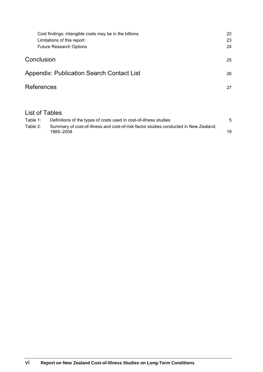| Cost findings: intangible costs may be in the billions | 22 |
|--------------------------------------------------------|----|
| Limitations of this report                             | 23 |
| <b>Future Research Options</b>                         | 24 |
| Conclusion                                             | 25 |
| <b>Appendix: Publication Search Contact List</b>       | 26 |
| <b>References</b>                                      | 27 |
|                                                        |    |

# List of Tables

| Table 1: | Definitions of the types of costs used in cost-of-illness studies                                 |    |
|----------|---------------------------------------------------------------------------------------------------|----|
| Table 2: | Summary of cost-of-illness and cost-of-risk-factor studies conducted in New Zealand,<br>1985–2008 | 19 |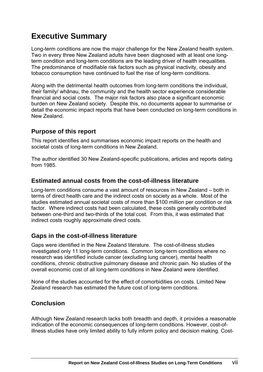# <span id="page-6-0"></span>**Executive Summary**

Long-term conditions are now the major challenge for the New Zealand health system. Two in every three New Zealand adults have been diagnosed with at least one longterm condition and long-term conditions are the leading driver of health inequalities. The predominance of modifiable risk factors such as physical inactivity, obesity and tobacco consumption have continued to fuel the rise of long-term conditions.

Along with the detrimental health outcomes from long-term conditions the individual, their family/ whānau, the community and the health sector experience considerable financial and social costs. The major risk factors also place a significant economic burden on New Zealand society. Despite this, no documents appear to summarise or detail the economic impact reports that have been conducted on long-term conditions in New Zealand.

# <span id="page-6-1"></span>**Purpose of this report**

This report identifies and summarises economic impact reports on the health and societal costs of long-term conditions in New Zealand.

The author identified 30 New Zealand-specific publications, articles and reports dating from 1985.

# <span id="page-6-2"></span>**Estimated annual costs from the cost-of-illness literature**

Long-term conditions consume a vast amount of resources in New Zealand – both in terms of direct health care and the indirect costs on society as a whole. Most of the studies estimated annual societal costs of more than \$100 million per condition or risk factor. Where indirect costs had been calculated, these costs generally contributed between one-third and two-thirds of the total cost. From this, it was estimated that indirect costs roughly approximate direct costs.

# <span id="page-6-3"></span>**Gaps in the cost-of-illness literature**

Gaps were identified in the New Zealand literature. The cost-of-illness studies investigated only 11 long-term conditions. Common long-term conditions where no research was identified include cancer (excluding lung cancer), mental health conditions, chronic obstructive pulmonary disease and chronic pain. No studies of the overall economic cost of all long-term conditions in New Zealand were identified.

None of the studies accounted for the effect of comorbidities on costs. Limited New Zealand research has estimated the future cost of long-term conditions.

# <span id="page-6-4"></span>**Conclusion**

Although New Zealand research lacks both breadth and depth, it provides a reasonable indication of the economic consequences of long-term conditions. However, cost-ofillness studies have only limited ability to fully inform policy and decision making. Cost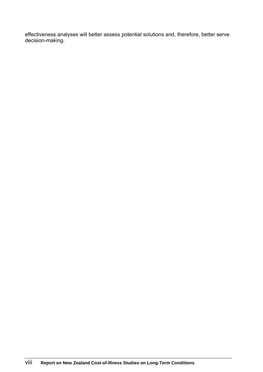effectiveness analyses will better assess potential solutions and, therefore, better serve decision-making.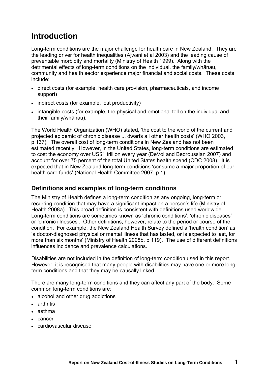# <span id="page-8-0"></span>**Introduction**

Long-term conditions are the major challenge for health care in New Zealand. They are the leading driver for health inequalities (Ajwani et al 2003) and the leading cause of preventable morbidity and mortality (Ministry of Health 1999). Along with the detrimental effects of long-term conditions on the individual, the family/whānau, community and health sector experience major financial and social costs. These costs include:

- direct costs (for example, health care provision, pharmaceuticals, and income support)
- indirect costs (for example, lost productivity)
- intangible costs (for example, the physical and emotional toll on the individual and their family/whānau).

The World Health Organization (WHO) stated, 'the cost to the world of the current and projected epidemic of chronic disease ... dwarfs all other health costs' (WHO 2003, p 137). The overall cost of long-term conditions in New Zealand has not been estimated recently. However, in the United States, long-term conditions are estimated to cost the economy over US\$1 trillion every year (DeVol and Bedroussian 2007) and account for over 75 percent of the total United States health spend (CDC 2008). It is expected that in New Zealand long-term conditions 'consume a major proportion of our health care funds' (National Health Committee 2007, p 1).

# <span id="page-8-1"></span>**Definitions and examples of long-term conditions**

The Ministry of Health defines a long-term condition as any ongoing, long-term or recurring condition that may have a significant impact on a person's life (Ministry of Health 2008a). This broad definition is consistent with definitions used worldwide. Long-term conditions are sometimes known as 'chronic conditions', 'chronic diseases' or 'chronic illnesses'. Other definitions, however, relate to the period or course of the condition. For example, the New Zealand Health Survey defined a 'health condition' as 'a doctor-diagnosed physical or mental illness that has lasted, or is expected to last, for more than six months' (Ministry of Health 2008b, p 119). The use of different definitions influences incidence and prevalence calculations.

Disabilities are not included in the definition of long-term condition used in this report. However, it is recognised that many people with disabilities may have one or more longterm conditions and that they may be causally linked.

There are many long-term conditions and they can affect any part of the body. Some common long-term conditions are:

- alcohol and other drug addictions
- arthritis
- asthma
- cancer
- cardiovascular disease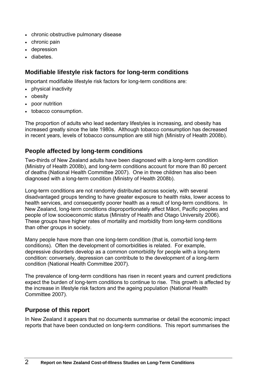- chronic obstructive pulmonary disease
- chronic pain
- depression
- diabetes.

# <span id="page-9-0"></span>**Modifiable lifestyle risk factors for long-term conditions**

Important modifiable lifestyle risk factors for long-term conditions are:

- physical inactivity
- obesity
- poor nutrition
- tobacco consumption.

The proportion of adults who lead sedentary lifestyles is increasing, and obesity has increased greatly since the late 1980s. Although tobacco consumption has decreased in recent years, levels of tobacco consumption are still high (Ministry of Health 2008b).

# <span id="page-9-1"></span>**People affected by long-term conditions**

Two-thirds of New Zealand adults have been diagnosed with a long-term condition (Ministry of Health 2008b), and long-term conditions account for more than 80 percent of deaths (National Health Committee 2007). One in three children has also been diagnosed with a long-term condition (Ministry of Health 2008b).

Long-term conditions are not randomly distributed across society, with several disadvantaged groups tending to have greater exposure to health risks, lower access to health services, and consequently poorer health as a result of long-term conditions. In New Zealand, long-term conditions disproportionately affect Māori, Pacific peoples and people of low socioeconomic status (Ministry of Health and Otago University 2006). These groups have higher rates of mortality and morbidity from long-term conditions than other groups in society.

Many people have more than one long-term condition (that is, comorbid long-term conditions). Often the development of comorbidities is related. For example, depressive disorders develop as a common comorbidity for people with a long-term condition: conversely, depression can contribute to the development of a long-term condition (National Health Committee 2007).

The prevalence of long-term conditions has risen in recent years and current predictions expect the burden of long-term conditions to continue to rise. This growth is affected by the increase in lifestyle risk factors and the ageing population (National Health Committee 2007).

# <span id="page-9-2"></span>**Purpose of this report**

In New Zealand it appears that no documents summarise or detail the economic impact reports that have been conducted on long-term conditions. This report summarises the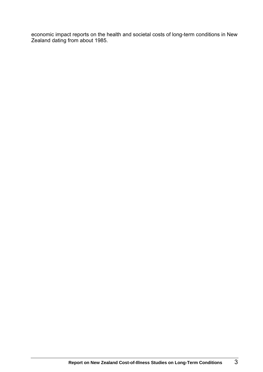economic impact reports on the health and societal costs of long-term conditions in New Zealand dating from about 1985.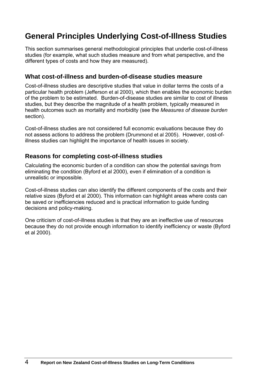# <span id="page-11-0"></span>**General Principles Underlying Cost-of-Illness Studies**

This section summarises general methodological principles that underlie cost-of-illness studies (for example, what such studies measure and from what perspective, and the different types of costs and how they are measured).

### <span id="page-11-1"></span>**What cost-of-illness and burden-of-disease studies measure**

Cost-of-illness studies are descriptive studies that value in dollar terms the costs of a particular health problem (Jefferson et al 2000), which then enables the economic burden of the problem to be estimated. Burden-of-disease studies are similar to cost of illness studies, but they describe the magnitude of a health problem, typically measured in health outcomes such as mortality and morbidity (see the *Measures of disease burden* section).

Cost-of-illness studies are not considered full economic evaluations because they do not assess actions to address the problem (Drummond et al 2005). However, cost-ofillness studies can highlight the importance of health issues in society.

# <span id="page-11-2"></span>**Reasons for completing cost-of-illness studies**

Calculating the economic burden of a condition can show the potential savings from eliminating the condition (Byford et al 2000), even if elimination of a condition is unrealistic or impossible.

Cost-of-illness studies can also identify the different components of the costs and their relative sizes (Byford et al 2000). This information can highlight areas where costs can be saved or inefficiencies reduced and is practical information to guide funding decisions and policy-making.

One criticism of cost-of-illness studies is that they are an ineffective use of resources because they do not provide enough information to identify inefficiency or waste (Byford et al 2000).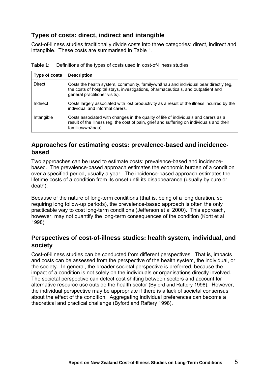# <span id="page-12-0"></span>**Types of costs: direct, indirect and intangible**

Cost-of-illness studies traditionally divide costs into three categories: direct, indirect and intangible. These costs are summarised in Table 1.

| Type of costs | <b>Description</b>                                                                                                                                                                                       |
|---------------|----------------------------------------------------------------------------------------------------------------------------------------------------------------------------------------------------------|
| <b>Direct</b> | Costs the health system, community, family/whanau and individual bear directly (eg,<br>the costs of hospital stays, investigations, pharmaceuticals, and outpatient and<br>general practitioner visits). |
| Indirect      | Costs largely associated with lost productivity as a result of the illness incurred by the<br>individual and informal carers.                                                                            |
| Intangible    | Costs associated with changes in the quality of life of individuals and carers as a<br>result of the illness (eg, the cost of pain, grief and suffering on individuals and their<br>families/whānau).    |

<span id="page-12-3"></span>**Table 1:** Definitions of the types of costs used in cost-of-illness studies

# <span id="page-12-1"></span>**Approaches for estimating costs: prevalence-based and incidencebased**

Two approaches can be used to estimate costs: prevalence-based and incidencebased. The prevalence-based approach estimates the economic burden of a condition over a specified period, usually a year. The incidence-based approach estimates the lifetime costs of a condition from its onset until its disappearance (usually by cure or death).

Because of the nature of long-term conditions (that is, being of a long duration, so requiring long follow-up periods), the prevalence-based approach is often the only practicable way to cost long-term conditions (Jefferson et al 2000). This approach, however, may not quantify the long-term consequences of the condition (Kortt et al 1998).

# <span id="page-12-2"></span>**Perspectives of cost-of-illness studies: health system, individual, and society**

Cost-of-illness studies can be conducted from different perspectives. That is, impacts and costs can be assessed from the perspective of the health system, the individual, or the society. In general, the broader societal perspective is preferred, because the impact of a condition is not solely on the individuals or organisations directly involved. The societal perspective can detect cost shifting between sectors and account for alternative resource use outside the health sector (Byford and Raftery 1998). However, the individual perspective may be appropriate if there is a lack of societal consensus about the effect of the condition. Aggregating individual preferences can become a theoretical and practical challenge (Byford and Raftery 1998).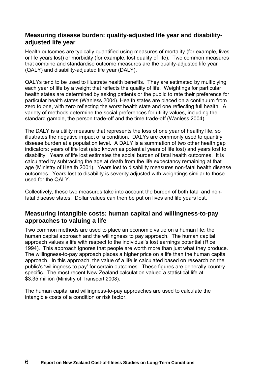### <span id="page-13-0"></span>**Measuring disease burden: quality-adjusted life year and disabilityadjusted life year**

Health outcomes are typically quantified using measures of mortality (for example, lives or life years lost) or morbidity (for example, lost quality of life). Two common measures that combine and standardise outcome measures are the quality-adjusted life year (QALY) and disability-adjusted life year (DALY).

QALYs tend to be used to illustrate health benefits. They are estimated by multiplying each year of life by a weight that reflects the quality of life. Weightings for particular health states are determined by asking patients or the public to rate their preference for particular health states (Wanless 2004). Health states are placed on a continuum from zero to one, with zero reflecting the worst health state and one reflecting full health. A variety of methods determine the social preferences for utility values, including the standard gamble, the person trade-off and the time trade-off (Wanless 2004).

The DALY is a utility measure that represents the loss of one year of healthy life, so illustrates the negative impact of a condition. DALYs are commonly used to quantify disease burden at a population level. A DALY is a summation of two other health gap indicators: years of life lost (also known as potential years of life lost) and years lost to disability. Years of life lost estimates the social burden of fatal health outcomes. It is calculated by subtracting the age at death from the life expectancy remaining at that age (Ministry of Health 2001). Years lost to disability measures non-fatal health disease outcomes. Years lost to disability is severity adjusted with weightings similar to those used for the QALY.

Collectively, these two measures take into account the burden of both fatal and nonfatal disease states. Dollar values can then be put on lives and life years lost.

### <span id="page-13-1"></span>**Measuring intangible costs: human capital and willingness-to-pay approaches to valuing a life**

Two common methods are used to place an economic value on a human life: the human capital approach and the willingness to pay approach. The human capital approach values a life with respect to the individual's lost earnings potential (Rice 1994). This approach ignores that people are worth more than just what they produce. The willingness-to-pay approach places a higher price on a life than the human capital approach. In this approach, the value of a life is calculated based on research on the public's 'willingness to pay' for certain outcomes. These figures are generally country specific. The most recent New Zealand calculation valued a statistical life at \$3.35 million (Ministry of Transport 2008).

The human capital and willingness-to-pay approaches are used to calculate the intangible costs of a condition or risk factor.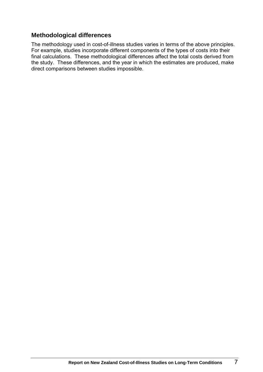### <span id="page-14-0"></span>**Methodological differences**

The methodology used in cost-of-illness studies varies in terms of the above principles. For example, studies incorporate different components of the types of costs into their final calculations. These methodological differences affect the total costs derived from the study. These differences, and the year in which the estimates are produced, make direct comparisons between studies impossible.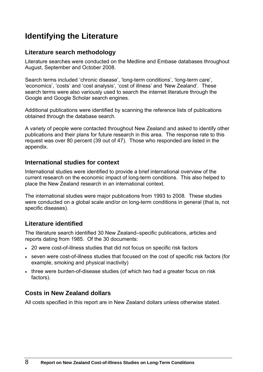# <span id="page-15-0"></span>**Identifying the Literature**

# <span id="page-15-1"></span>**Literature search methodology**

Literature searches were conducted on the Medline and Embase databases throughout August, September and October 2008.

Search terms included 'chronic disease', 'long-term conditions', 'long-term care', 'economics', 'costs' and 'cost analysis', 'cost of illness' and 'New Zealand'. These search terms were also variously used to search the internet literature through the Google and Google Scholar search engines.

Additional publications were identified by scanning the reference lists of publications obtained through the database search.

A variety of people were contacted throughout New Zealand and asked to identify other publications and their plans for future research in this area. The response rate to this request was over 80 percent (39 out of 47). Those who responded are listed in the appendix.

# <span id="page-15-2"></span>**International studies for context**

International studies were identified to provide a brief international overview of the current research on the economic impact of long-term conditions. This also helped to place the New Zealand research in an international context.

The international studies were major publications from 1993 to 2008. These studies were conducted on a global scale and/or on long-term conditions in general (that is, not specific diseases).

# <span id="page-15-3"></span>**Literature identified**

The literature search identified 30 New Zealand–specific publications, articles and reports dating from 1985. Of the 30 documents:

- 20 were cost-of-illness studies that did not focus on specific risk factors
- seven were cost-of-illness studies that focused on the cost of specific risk factors (for example, smoking and physical inactivity)
- three were burden-of-disease studies (of which two had a greater focus on risk factors).

# <span id="page-15-4"></span>**Costs in New Zealand dollars**

All costs specified in this report are in New Zealand dollars unless otherwise stated.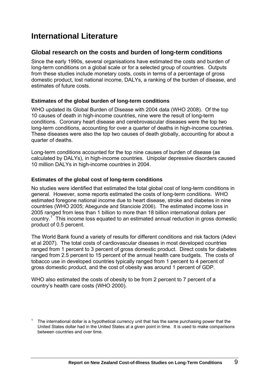# <span id="page-16-0"></span>**International Literature**

### <span id="page-16-1"></span>**Global research on the costs and burden of long-term conditions**

Since the early 1990s, several organisations have estimated the costs and burden of long-term conditions on a global scale or for a selected group of countries. Outputs from these studies include monetary costs, costs in terms of a percentage of gross domestic product, lost national income, DALYs, a ranking of the burden of disease, and estimates of future costs.

#### **Estimates of the global burden of long-term conditions**

WHO updated its Global Burden of Disease with 2004 data (WHO 2008). Of the top 10 causes of death in high-income countries, nine were the result of long-term conditions. Coronary heart disease and cerebrovascular diseases were the top two long-term conditions, accounting for over a quarter of deaths in high-income countries. These diseases were also the top two causes of death globally, accounting for about a quarter of deaths.

Long-term conditions accounted for the top nine causes of burden of disease (as calculated by DALYs), in high-income countries. Unipolar depressive disorders caused 10 million DALYs in high-income countries in 2004.

#### **Estimates of the global cost of long-term conditions**

No studies were identified that estimated the total global cost of long-term conditions in general. However, some reports estimated the costs of long-term conditions. WHO estimated foregone national income due to heart disease, stroke and diabetes in nine countries (WHO 2005; Abegunde and Stanciole 2006). The estimated income loss in 2005 ranged from less than 1 billion to more than 18 billion international dollars per country.<sup>[1](#page-16-2)</sup> This income loss equated to an estimated annual reduction in gross domestic product of 0.5 percent.

The World Bank found a variety of results for different conditions and risk factors (Adevi et al 2007). The total costs of cardiovascular diseases in most developed countries ranged from 1 percent to 3 percent of gross domestic product. Direct costs for diabetes ranged from 2.5 percent to 15 percent of the annual health care budgets. The costs of tobacco use in developed countries typically ranged from 1 percent to 4 percent of gross domestic product, and the cost of obesity was around 1 percent of GDP.

WHO also estimated the costs of obesity to be from 2 percent to 7 percent of a country's health care costs (WHO 2000).

<span id="page-16-2"></span><sup>1</sup> The international dollar is a hypothetical currency unit that has the same purchasing power that the United States dollar had in the United States at a given point in time. It is used to make comparisons between countries and over time.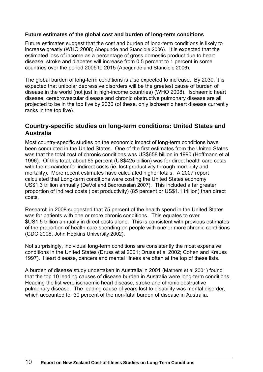#### **Future estimates of the global cost and burden of long-term conditions**

Future estimates suggest that the cost and burden of long-term conditions is likely to increase greatly (WHO 2008; Abegunde and Stanciole 2006). It is expected that the estimated loss of income as a percentage of gross domestic product due to heart disease, stroke and diabetes will increase from 0.5 percent to 1 percent in some countries over the period 2005 to 2015 (Abegunde and Stanciole 2006).

The global burden of long-term conditions is also expected to increase. By 2030, it is expected that unipolar depressive disorders will be the greatest cause of burden of disease in the world (not just in high-income countries) (WHO 2008). Ischaemic heart disease, cerebrovascular disease and chronic obstructive pulmonary disease are all projected to be in the top five by 2030 (of these, only ischaemic heart disease currently ranks in the top five).

### <span id="page-17-0"></span>**Country-specific studies on long-term conditions: United States and Australia**

Most country-specific studies on the economic impact of long-term conditions have been conducted in the United States. One of the first estimates from the United States was that the total cost of chronic conditions was US\$658 billion in 1990 (Hoffmann et al 1996). Of this total, about 65 percent (US\$425 billion) was for direct health care costs with the remainder for indirect costs (ie, lost productivity through morbidity and mortality). More recent estimates have calculated higher totals. A 2007 report calculated that Long-term conditions were costing the United States economy US\$1.3 trillion annually (DeVol and Bedroussian 2007). This included a far greater proportion of indirect costs (lost productivity) (85 percent or US\$1.1 trillion) than direct costs.

Research in 2008 suggested that 75 percent of the health spend in the United States was for patients with one or more chronic conditions. This equates to over \$US1.5 trillion annually in direct costs alone. This is consistent with previous estimates of the proportion of health care spending on people with one or more chronic conditions (CDC 2008; John Hopkins University 2002).

Not surprisingly, individual long-term conditions are consistently the most expensive conditions in the United States (Druss et al 2001; Druss et al 2002; Cohen and Krauss 1997). Heart disease, cancers and mental illness are often at the top of these lists.

A burden of disease study undertaken in Australia in 2001 (Mathers et al 2001) found that the top 10 leading causes of disease burden in Australia were long-term conditions. Heading the list were ischaemic heart disease, stroke and chronic obstructive pulmonary disease. The leading cause of years lost to disability was mental disorder, which accounted for 30 percent of the non-fatal burden of disease in Australia.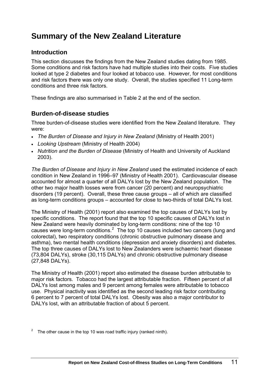# <span id="page-18-0"></span>**Summary of the New Zealand Literature**

# <span id="page-18-1"></span>**Introduction**

This section discusses the findings from the New Zealand studies dating from 1985. Some conditions and risk factors have had multiple studies into their costs. Five studies looked at type 2 diabetes and four looked at tobacco use. However, for most conditions and risk factors there was only one study. Overall, the studies specified 11 Long-term conditions and three risk factors.

These findings are also summarised in Table 2 at the end of the section.

# <span id="page-18-2"></span>**Burden-of-disease studies**

Three burden-of-disease studies were identified from the New Zealand literature. They were:

- *The Burden of Disease and Injury in New Zealand* (Ministry of Health 2001)
- *Looking Upstream* (Ministry of Health 2004)
- *Nutrition and the Burden of Disease* (Ministry of Health and University of Auckland 2003).

*The Burden of Disease and Injury in New Zealand* used the estimated incidence of each condition in New Zealand in 1996–97 (Ministry of Health 2001). Cardiovascular disease accounted for almost a quarter of all DALYs lost by the New Zealand population. The other two major health losses were from cancer (20 percent) and neuropsychiatric disorders (19 percent). Overall, these three cause groups – all of which are classified as long-term conditions groups – accounted for close to two-thirds of total DALYs lost.

The Ministry of Health (2001) report also examined the top causes of DALYs lost by specific conditions. The report found that the top 10 specific causes of DALYs lost in New Zealand were heavily dominated by long-term conditions: nine of the top 10 causes were long-term conditions. $2$  The top 10 causes included two cancers (lung and colorectal), two respiratory conditions (chronic obstructive pulmonary disease and asthma), two mental health conditions (depression and anxiety disorders) and diabetes. The top three causes of DALYs lost to New Zealanders were ischaemic heart disease (73,804 DALYs), stroke (30,115 DALYs) and chronic obstructive pulmonary disease (27,848 DALYs).

The Ministry of Health (2001) report also estimated the disease burden attributable to major risk factors. Tobacco had the largest attributable fraction. Fifteen percent of all DALYs lost among males and 9 percent among females were attributable to tobacco use. Physical inactivity was identified as the second leading risk factor contributing 6 percent to 7 percent of total DALYs lost. Obesity was also a major contributor to DALYs lost, with an attributable fraction of about 5 percent.

<span id="page-18-3"></span><sup>&</sup>lt;sup>2</sup> The other cause in the top 10 was road traffic injury (ranked ninth).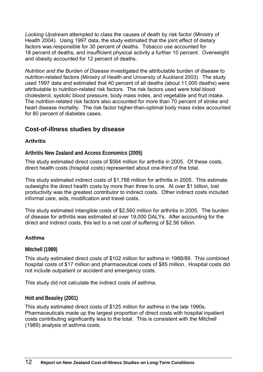*Looking Upstream* attempted to class the causes of death by risk factor (Ministry of Health 2004). Using 1997 data, the study estimated that the joint effect of dietary factors was responsible for 30 percent of deaths. Tobacco use accounted for 18 percent of deaths, and insufficient physical activity a further 10 percent. Overweight and obesity accounted for 12 percent of deaths.

*Nutrition and the Burden of Disease* investigated the attributable burden of disease to nutrition-related factors (Ministry of Health and University of Auckland 2003). The study used 1997 data and estimated that 40 percent of all deaths (about 11,000 deaths) were attributable to nutrition-related risk factors. The risk factors used were total blood cholesterol, systolic blood pressure, body mass index, and vegetable and fruit intake. The nutrition-related risk factors also accounted for more than 70 percent of stroke and heart disease mortality. The risk factor higher-than-optimal body mass index accounted for 80 percent of diabetes cases.

### <span id="page-19-0"></span>**Cost-of-illness studies by disease**

#### **Arthritis**

**Arthritis New Zealand and Access Economics (2005)** 

This study estimated direct costs of \$564 million for arthritis in 2005. Of these costs, direct health costs (hospital costs) represented about one-third of the total.

This study estimated indirect costs of \$1,788 million for arthritis in 2005. This estimate outweighs the direct health costs by more than three to one. At over \$1 billion, lost productivity was the greatest contributor to indirect costs. Other indirect costs included informal care, aids, modification and travel costs.

This study estimated intangible costs of \$2,560 million for arthritis in 2005. The burden of disease for arthritis was estimated at over 19,000 DALYs. After accounting for the direct and indirect costs, this led to a net cost of suffering of \$2.56 billion.

#### **Asthma**

#### **Mitchell (1989)**

This study estimated direct costs of \$102 million for asthma in 1988/89. This combined hospital costs of \$17 million and pharmaceutical costs of \$85 million. Hospital costs did not include outpatient or accident and emergency costs.

This study did not calculate the indirect costs of asthma.

#### **Holt and Beasley (2001)**

This study estimated direct costs of \$125 million for asthma in the late 1990s. Pharmaceuticals made up the largest proportion of direct costs with hospital inpatient costs contributing significantly less to the total. This is consistent with the Mitchell (1989) analysis of asthma costs.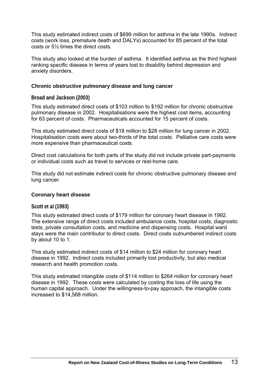This study estimated indirect costs of \$699 million for asthma in the late 1990s. Indirect costs (work loss, premature death and DALYs) accounted for 85 percent of the total costs or 5½ times the direct costs.

This study also looked at the burden of asthma. It identified asthma as the third highest ranking specific disease in terms of years lost to disability behind depression and anxiety disorders.

#### **Chronic obstructive pulmonary disease and lung cancer**

**Broad and Jackson (2003)** 

This study estimated direct costs of \$103 million to \$192 million for chronic obstructive pulmonary disease in 2002. Hospitalisations were the highest cost items, accounting for 63 percent of costs. Pharmaceuticals accounted for 15 percent of costs.

This study estimated direct costs of \$18 million to \$28 million for lung cancer in 2002. Hospitalisation costs were about two-thirds of the total costs. Palliative care costs were more expensive than pharmaceutical costs.

Direct cost calculations for both parts of the study did not include private part-payments or individual costs such as travel to services or rest-home care.

This study did not estimate indirect costs for chronic obstructive pulmonary disease and lung cancer.

#### **Coronary heart disease**

#### **Scott et al (1993)**

This study estimated direct costs of \$179 million for coronary heart disease in 1992. The extensive range of direct costs included ambulance costs, hospital costs, diagnostic tests, private consultation costs, and medicine and dispensing costs. Hospital ward stays were the main contributor to direct costs. Direct costs outnumbered indirect costs by about 10 to 1.

This study estimated indirect costs of \$14 million to \$24 million for coronary heart disease in 1992. Indirect costs included primarily lost productivity, but also medical research and health promotion costs.

This study estimated intangible costs of \$114 million to \$264 million for coronary heart disease in 1992. These costs were calculated by costing the loss of life using the human capital approach. Under the willingness-to-pay approach, the intangible costs increased to \$14,568 million.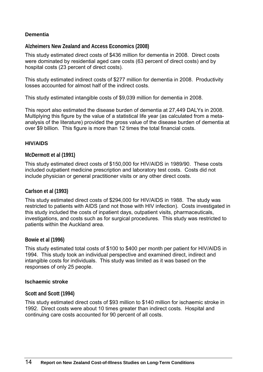#### **Dementia**

**Alzheimers New Zealand and Access Economics (2008)** 

This study estimated direct costs of \$436 million for dementia in 2008. Direct costs were dominated by residential aged care costs (63 percent of direct costs) and by hospital costs (23 percent of direct costs).

This study estimated indirect costs of \$277 million for dementia in 2008. Productivity losses accounted for almost half of the indirect costs.

This study estimated intangible costs of \$9,039 million for dementia in 2008.

This report also estimated the disease burden of dementia at 27,449 DALYs in 2008. Multiplying this figure by the value of a statistical life year (as calculated from a metaanalysis of the literature) provided the gross value of the disease burden of dementia at over \$9 billion. This figure is more than 12 times the total financial costs.

#### **HIV/AIDS**

#### **McDermott et al (1991)**

This study estimated direct costs of \$150,000 for HIV/AIDS in 1989/90. These costs included outpatient medicine prescription and laboratory test costs. Costs did not include physician or general practitioner visits or any other direct costs.

#### **Carlson et al (1993)**

This study estimated direct costs of \$294,000 for HIV/AIDS in 1988. The study was restricted to patients with AIDS (and not those with HIV infection). Costs investigated in this study included the costs of inpatient days, outpatient visits, pharmaceuticals, investigations, and costs such as for surgical procedures. This study was restricted to patients within the Auckland area.

#### **Bowie et al (1996)**

This study estimated total costs of \$100 to \$400 per month per patient for HIV/AIDS in 1994. This study took an individual perspective and examined direct, indirect and intangible costs for individuals. This study was limited as it was based on the responses of only 25 people.

#### **Ischaemic stroke**

#### **Scott and Scott (1994)**

This study estimated direct costs of \$93 million to \$140 million for ischaemic stroke in 1992. Direct costs were about 10 times greater than indirect costs. Hospital and continuing care costs accounted for 90 percent of all costs.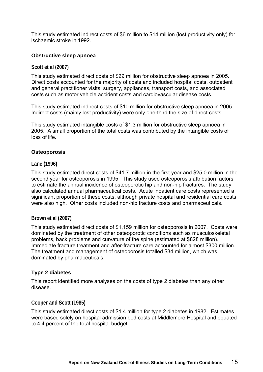This study estimated indirect costs of \$6 million to \$14 million (lost productivity only) for ischaemic stroke in 1992.

#### **Obstructive sleep apnoea**

#### **Scott et al (2007)**

This study estimated direct costs of \$29 million for obstructive sleep apnoea in 2005. Direct costs accounted for the majority of costs and included hospital costs, outpatient and general practitioner visits, surgery, appliances, transport costs, and associated costs such as motor vehicle accident costs and cardiovascular disease costs.

This study estimated indirect costs of \$10 million for obstructive sleep apnoea in 2005. Indirect costs (mainly lost productivity) were only one-third the size of direct costs.

This study estimated intangible costs of \$1.3 million for obstructive sleep apnoea in 2005. A small proportion of the total costs was contributed by the intangible costs of loss of life.

#### **Osteoporosis**

#### **Lane (1996)**

This study estimated direct costs of \$41.7 million in the first year and \$25.0 million in the second year for osteoporosis in 1995. This study used osteoporosis attribution factors to estimate the annual incidence of osteoporotic hip and non-hip fractures. The study also calculated annual pharmaceutical costs. Acute inpatient care costs represented a significant proportion of these costs, although private hospital and residential care costs were also high. Other costs included non-hip fracture costs and pharmaceuticals.

#### **Brown et al (2007)**

This study estimated direct costs of \$1,159 million for osteoporosis in 2007. Costs were dominated by the treatment of other osteoporotic conditions such as musculoskeletal problems, back problems and curvature of the spine (estimated at \$828 million). Immediate fracture treatment and after-fracture care accounted for almost \$300 million. The treatment and management of osteoporosis totalled \$34 million, which was dominated by pharmaceuticals.

#### **Type 2 diabetes**

This report identified more analyses on the costs of type 2 diabetes than any other disease.

#### **Cooper and Scott (1985)**

This study estimated direct costs of \$1.4 million for type 2 diabetes in 1982. Estimates were based solely on hospital admission bed costs at Middlemore Hospital and equated to 4.4 percent of the total hospital budget.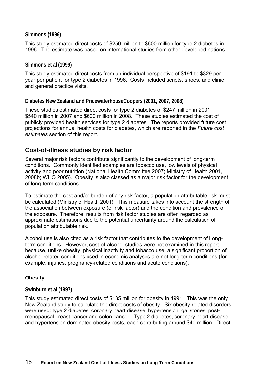#### **Simmons (1996)**

This study estimated direct costs of \$250 million to \$600 million for type 2 diabetes in 1996. The estimate was based on international studies from other developed nations.

#### **Simmons et al (1999)**

This study estimated direct costs from an individual perspective of \$191 to \$329 per year per patient for type 2 diabetes in 1996. Costs included scripts, shoes, and clinic and general practice visits.

#### **Diabetes New Zealand and PricewaterhouseCoopers (2001, 2007, 2008)**

These studies estimated direct costs for type 2 diabetes of \$247 million in 2001, \$540 million in 2007 and \$600 million in 2008. These studies estimated the cost of publicly provided health services for type 2 diabetes. The reports provided future cost projections for annual health costs for diabetes, which are reported in the *Future cost estimates* section of this report.

### <span id="page-23-0"></span>**Cost-of-illness studies by risk factor**

Several major risk factors contribute significantly to the development of long-term conditions. Commonly identified examples are tobacco use, low levels of physical activity and poor nutrition (National Health Committee 2007; Ministry of Health 2001, 2008b; WHO 2005). Obesity is also classed as a major risk factor for the development of long-term conditions.

To estimate the cost and/or burden of any risk factor, a population attributable risk must be calculated (Ministry of Health 2001). This measure takes into account the strength of the association between exposure (or risk factor) and the condition and prevalence of the exposure. Therefore, results from risk factor studies are often regarded as approximate estimations due to the potential uncertainty around the calculation of population attributable risk.

Alcohol use is also cited as a risk factor that contributes to the development of Longterm conditions. However, cost-of-alcohol studies were not examined in this report because, unlike obesity, physical inactivity and tobacco use, a significant proportion of alcohol-related conditions used in economic analyses are not long-term conditions (for example, injuries, pregnancy-related conditions and acute conditions).

#### **Obesity**

#### **Swinburn et al (1997)**

This study estimated direct costs of \$135 million for obesity in 1991. This was the only New Zealand study to calculate the direct costs of obesity. Six obesity-related disorders were used: type 2 diabetes, coronary heart disease, hypertension, gallstones, postmenopausal breast cancer and colon cancer. Type 2 diabetes, coronary heart disease and hypertension dominated obesity costs, each contributing around \$40 million. Direct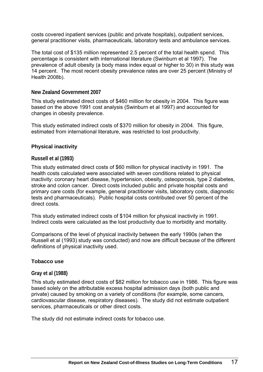costs covered inpatient services (public and private hospitals), outpatient services, general practitioner visits, pharmaceuticals, laboratory tests and ambulance services.

The total cost of \$135 million represented 2.5 percent of the total health spend. This percentage is consistent with international literature (Swinburn et al 1997). The prevalence of adult obesity (a body mass index equal or higher to 30) in this study was 14 percent. The most recent obesity prevalence rates are over 25 percent (Ministry of Health 2008b).

#### **New Zealand Government 2007**

This study estimated direct costs of \$460 million for obesity in 2004. This figure was based on the above 1991 cost analysis (Swinburn et al 1997) and accounted for changes in obesity prevalence.

This study estimated indirect costs of \$370 million for obesity in 2004. This figure, estimated from international literature, was restricted to lost productivity.

#### **Physical inactivity**

#### **Russell et al (1993)**

This study estimated direct costs of \$60 million for physical inactivity in 1991. The health costs calculated were associated with seven conditions related to physical inactivity: coronary heart disease, hypertension, obesity, osteoporosis, type 2 diabetes, stroke and colon cancer. Direct costs included public and private hospital costs and primary care costs (for example, general practitioner visits, laboratory costs, diagnostic tests and pharmaceuticals). Public hospital costs contributed over 50 percent of the direct costs.

This study estimated indirect costs of \$104 million for physical inactivity in 1991. Indirect costs were calculated as the lost productivity due to morbidity and mortality.

Comparisons of the level of physical inactivity between the early 1990s (when the Russell et al (1993) study was conducted) and now are difficult because of the different definitions of physical inactivity used.

#### **Tobacco use**

#### **Gray et al (1988)**

This study estimated direct costs of \$82 million for tobacco use in 1986. This figure was based solely on the attributable excess hospital admission days (both public and private) caused by smoking on a variety of conditions (for example, some cancers, cardiovascular disease, respiratory diseases). The study did not estimate outpatient services, pharmaceuticals or other direct costs.

The study did not estimate indirect costs for tobacco use.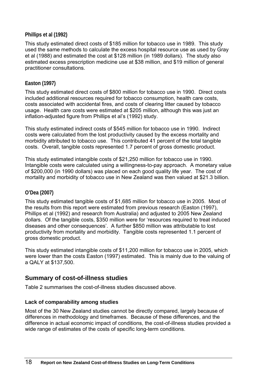#### **Phillips et al (1992)**

This study estimated direct costs of \$185 million for tobacco use in 1989. This study used the same methods to calculate the excess hospital resource use as used by Gray et al (1988) and estimated the cost at \$128 million (in 1989 dollars). The study also estimated excess prescription medicine use at \$38 million, and \$19 million of general practitioner consultations.

#### **Easton (1997)**

This study estimated direct costs of \$800 million for tobacco use in 1990. Direct costs included additional resources required for tobacco consumption, health care costs, costs associated with accidental fires, and costs of clearing litter caused by tobacco usage. Health care costs were estimated at \$205 million, although this was just an inflation-adjusted figure from Phillips et al's (1992) study.

This study estimated indirect costs of \$545 million for tobacco use in 1990. Indirect costs were calculated from the lost productivity caused by the excess mortality and morbidity attributed to tobacco use. This contributed 41 percent of the total tangible costs. Overall, tangible costs represented 1.7 percent of gross domestic product.

This study estimated intangible costs of \$21,250 million for tobacco use in 1990. Intangible costs were calculated using a willingness-to-pay approach. A monetary value of \$200,000 (in 1990 dollars) was placed on each good quality life year. The cost of mortality and morbidity of tobacco use in New Zealand was then valued at \$21.3 billion.

#### **O'Dea (2007)**

This study estimated tangible costs of \$1,685 million for tobacco use in 2005. Most of the results from this report were estimated from previous research (Easton (1997), Phillips et al (1992) and research from Australia) and adjusted to 2005 New Zealand dollars. Of the tangible costs, \$350 million were for 'resources required to treat induced diseases and other consequences'. A further \$850 million was attributable to lost productivity from mortality and morbidity. Tangible costs represented 1.1 percent of gross domestic product.

This study estimated intangible costs of \$11,200 million for tobacco use in 2005, which were lower than the costs Easton (1997) estimated. This is mainly due to the valuing of a QALY at \$137,500.

### <span id="page-25-0"></span>**Summary of cost-of-illness studies**

Table 2 summarises the cost-of-illness studies discussed above.

#### **Lack of comparability among studies**

Most of the 30 New Zealand studies cannot be directly compared, largely because of differences in methodology and timeframes. Because of these differences, and the difference in actual economic impact of conditions, the cost-of-illness studies provided a wide range of estimates of the costs of specific long-term conditions.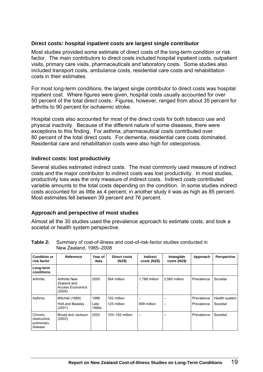#### **Direct costs: hospital inpatient costs are largest single contributor**

Most studies provided some estimate of direct costs of the long-term condition or risk factor. The main contributors to direct costs included hospital inpatient costs, outpatient visits, primary care visits, pharmaceuticals and laboratory costs. Some studies also included transport costs, ambulance costs, residential care costs and rehabilitation costs in their estimates.

For most long-term conditions, the largest single contributor to direct costs was hospital inpatient cost. Where figures were given, hospital costs usually accounted for over 50 percent of the total direct costs. Figures, however, ranged from about 35 percent for arthritis to 90 percent for ischaemic stroke.

Hospital costs also accounted for most of the direct costs for both tobacco use and physical inactivity. Because of the different nature of some diseases, there were exceptions to this finding. For asthma, pharmaceutical costs contributed over 80 percent of the total direct costs. For dementia, residential care costs dominated. Residential care and rehabilitation costs were also high for osteoporosis.

#### **Indirect costs: lost productivity**

Several studies estimated indirect costs. The most commonly used measure of indirect costs and the major contributor to indirect costs was lost productivity. In most studies, productivity loss was the only measure of indirect costs. Indirect costs contributed variable amounts to the total costs depending on the condition. In some studies indirect costs accounted for as little as 4 percent, in another study it was as high as 85 percent. Most estimates fell between 39 percent and 76 percent.

#### **Approach and perspective of most studies**

Almost all the 30 studies used the prevalence approach to estimate costs, and took a societal or health system perspective.

| <b>Condition or</b><br>risk factor             | Reference                                                         | Year of<br>data | Direct costs<br>(NZ\$) | <b>Indirect</b><br>costs (NZ\$) | Intangible<br>costs (NZ\$) | Approach   | <b>Perspective</b> |
|------------------------------------------------|-------------------------------------------------------------------|-----------------|------------------------|---------------------------------|----------------------------|------------|--------------------|
| Long-term<br>conditions                        |                                                                   |                 |                        |                                 |                            |            |                    |
| Arthritis                                      | <b>Arthritis New</b><br>Zealand and<br>Access Economics<br>(2005) | 2005            | 564 million            | 1,788 million                   | 2.560 million              | Prevalence | Societal           |
| Asthma                                         | Mitchell (1989)                                                   | 1988            | 102 million            | -                               |                            | Prevalence | Health system      |
|                                                | Holt and Beasley<br>(2001)                                        | Late<br>1990s   | 125 million            | 699 million                     | -                          | Prevalence | Societal           |
| Chronic<br>obstructive<br>pulmonary<br>disease | Broad and Jackson<br>(2003)                                       | 2002            | 103-192 million        | $\overline{\phantom{0}}$        |                            | Prevalence | Societal           |

#### <span id="page-26-0"></span>**Table 2:** Summary of cost-of-illness and cost-of-risk-factor studies conducted in New Zealand, 1985–2008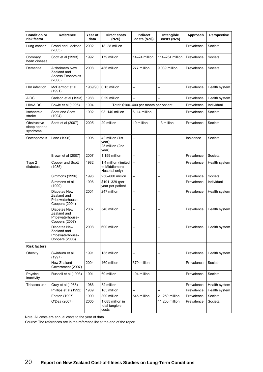| <b>Condition or</b><br>risk factor      | Reference                                                                 | Year of<br>data | <b>Direct costs</b><br>(NZ\$)                           | Indirect<br>costs (NZ\$)               | Intangible<br>costs (NZ\$) | Approach   | Perspective   |
|-----------------------------------------|---------------------------------------------------------------------------|-----------------|---------------------------------------------------------|----------------------------------------|----------------------------|------------|---------------|
| Lung cancer                             | Broad and Jackson<br>(2003)                                               | 2002            | 18-28 million                                           |                                        |                            | Prevalence | Societal      |
| Coronary<br>heart disease               | Scott et al (1993)                                                        | 1992            | 179 million                                             | 14-24 million                          | 114-264 million            | Prevalence | Societal      |
| Dementia                                | <b>Alzheimers New</b><br>Zealand and<br><b>Access Economics</b><br>(2008) | 2008            | 436 million                                             | 277 million                            | 9,039 million              | Prevalence | Societal      |
| HIV infection                           | McDermott et al<br>(1991)                                                 | 1989/90         | 0.15 million                                            | $\overline{\phantom{0}}$               |                            | Prevalence | Health system |
| <b>AIDS</b>                             | Carlson et al (1993)                                                      | 1988            | 0.29 million                                            |                                        |                            | Prevalence | Health system |
| <b>HIV/AIDS</b>                         | Bowie et al (1996)                                                        | 1994            |                                                         | Total: \$100-400 per month per patient |                            | Prevalence | Individual    |
| Ischaemic<br>stroke                     | Scott and Scott<br>(1994)                                                 | 1992            | 93-140 million                                          | 6-14 million                           |                            | Prevalence | Societal      |
| Obstructive<br>sleep apnoea<br>syndrome | Scott et al (2007)                                                        | 2005            | 29 million                                              | 10 million                             | 1.3 million                | Prevalence | Societal      |
| Osteoporosis                            | Lane (1996)                                                               | 1995            | 42 million (1st<br>year);<br>25 million (2nd<br>year)   | $\overline{\phantom{0}}$               |                            | Incidence  | Societal      |
|                                         | Brown et al (2007)                                                        | 2007            | 1,159 million                                           |                                        |                            | Prevalence | Societal      |
| Type 2<br>diabetes                      | Cooper and Scott<br>(1985)                                                | 1982            | 1.4 million (limited<br>to Middlemore<br>Hospital only) | $\overline{\phantom{0}}$               |                            | Prevalence | Health system |
|                                         | Simmons (1996)                                                            | 1996            | 250-600 million                                         |                                        |                            | Prevalence | Societal      |
|                                         | Simmons et al<br>(1999)                                                   | 1996            | \$191-329 (per<br>year per patient                      |                                        |                            | Prevalence | Individual    |
|                                         | Diabetes New<br>Zealand and<br>Pricewaterhouse-<br>Coopers (2001)         | 2001            | 247 million                                             |                                        |                            | Prevalence | Health system |
|                                         | Diabetes New<br>Zealand and<br>Pricewaterhouse-<br>Coopers (2007)         | 2007            | 540 million                                             |                                        |                            | Prevalence | Health system |
|                                         | Diabetes New<br>Zealand and<br>Pricewaterhouse-<br>Coopers (2008)         | 2008            | 600 million                                             |                                        |                            | Prevalence | Health system |
| <b>Risk factors</b>                     |                                                                           |                 |                                                         |                                        |                            |            |               |
| Obesity                                 | Swinburn et al<br>(1997)                                                  | 1991            | 135 million                                             |                                        |                            | Prevalence | Health system |
|                                         | New Zealand<br>Government (2007)                                          | 2004            | 460 million                                             | 370 million                            | —                          | Prevalence | Societal      |
| Physical<br>inactivity                  | Russell et al (1993)                                                      | 1991            | 60 million                                              | 104 million                            | $\overline{\phantom{0}}$   | Prevalence | Societal      |
| Tobacco use                             | Gray et al (1988)                                                         | 1986            | 82 million                                              | $\overline{\phantom{0}}$               |                            | Prevalence | Health system |
|                                         | Phillips et al (1992)                                                     | 1989            | 185 million                                             |                                        |                            | Prevalence | Health system |
|                                         | Easton (1997)                                                             | 1990            | 800 million                                             | 545 million                            | 21,250 million             | Prevalence | Societal      |
|                                         | O'Dea (2007)                                                              | 2005            | 1,685 million in<br>total tangible<br>costs             |                                        | 11,200 million             | Prevalence | Societal      |

Note: All costs are annual costs to the year of data.

Source: The references are in the reference list at the end of the report.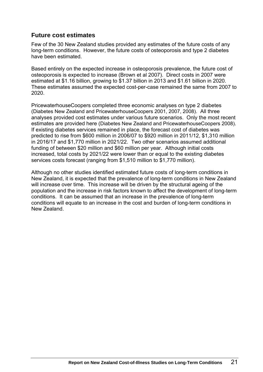# <span id="page-28-0"></span>**Future cost estimates**

Few of the 30 New Zealand studies provided any estimates of the future costs of any long-term conditions. However, the future costs of osteoporosis and type 2 diabetes have been estimated.

Based entirely on the expected increase in osteoporosis prevalence, the future cost of osteoporosis is expected to increase (Brown et al 2007). Direct costs in 2007 were estimated at \$1.16 billion, growing to \$1.37 billion in 2013 and \$1.61 billion in 2020. These estimates assumed the expected cost-per-case remained the same from 2007 to 2020.

PricewaterhouseCoopers completed three economic analyses on type 2 diabetes (Diabetes New Zealand and PricewaterhouseCoopers 2001, 2007, 2008). All three analyses provided cost estimates under various future scenarios. Only the most recent estimates are provided here (Diabetes New Zealand and PricewaterhouseCoopers 2008). If existing diabetes services remained in place, the forecast cost of diabetes was predicted to rise from \$600 million in 2006/07 to \$920 million in 2011/12, \$1,310 million in 2016/17 and \$1,770 million in 2021/22. Two other scenarios assumed additional funding of between \$20 million and \$60 million per year. Although initial costs increased, total costs by 2021/22 were lower than or equal to the existing diabetes services costs forecast (ranging from \$1,510 million to \$1,770 million).

Although no other studies identified estimated future costs of long-term conditions in New Zealand, it is expected that the prevalence of long-term conditions in New Zealand will increase over time. This increase will be driven by the structural ageing of the population and the increase in risk factors known to affect the development of long-term conditions. It can be assumed that an increase in the prevalence of long-term conditions will equate to an increase in the cost and burden of long-term conditions in New Zealand.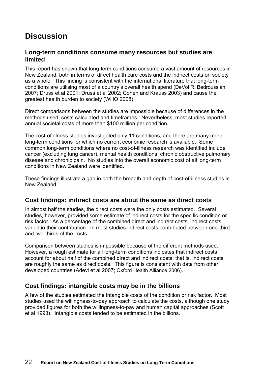# <span id="page-29-0"></span>**Discussion**

### <span id="page-29-1"></span>**Long-term conditions consume many resources but studies are limited**

This report has shown that long-term conditions consume a vast amount of resources in New Zealand: both in terms of direct health care costs and the indirect costs on society as a whole. This finding is consistent with the international literature that long-term conditions are utilising most of a country's overall health spend (DeVol R, Bedroussian 2007; Druss et al 2001; Druss et al 2002; Cohen and Krauss 2003) and cause the greatest health burden to society (WHO 2008).

Direct comparisons between the studies are impossible because of differences in the methods used, costs calculated and timeframes. Nevertheless, most studies reported annual societal costs of more than \$100 million per condition.

The cost-of-illness studies investigated only 11 conditions, and there are many more long-term conditions for which no current economic research is available. Some common long-term conditions where no cost-of-illness research was identified include cancer (excluding lung cancer), mental health conditions, chronic obstructive pulmonary disease and chronic pain. No studies into the overall economic cost of all long-term conditions in New Zealand were identified.

These findings illustrate a gap in both the breadth and depth of cost-of-illness studies in New Zealand.

### <span id="page-29-2"></span>**Cost findings: indirect costs are about the same as direct costs**

In almost half the studies, the direct costs were the only costs estimated. Several studies, however, provided some estimate of indirect costs for the specific condition or risk factor. As a percentage of the combined direct and indirect costs, indirect costs varied in their contribution. In most studies indirect costs contributed between one-third and two-thirds of the costs.

Comparison between studies is impossible because of the different methods used. However, a rough estimate for all long-term conditions indicates that indirect costs account for about half of the combined direct and indirect costs; that is, indirect costs are roughly the same as direct costs. This figure is consistent with data from other developed countries (Adevi et al 2007; Oxford Health Alliance 2006).

# <span id="page-29-3"></span>**Cost findings: intangible costs may be in the billions**

A few of the studies estimated the intangible costs of the condition or risk factor. Most studies used the willingness-to-pay approach to calculate the costs, although one study provided figures for both the willingness-to-pay and human capital approaches (Scott et al 1993). Intangible costs tended to be estimated in the billions.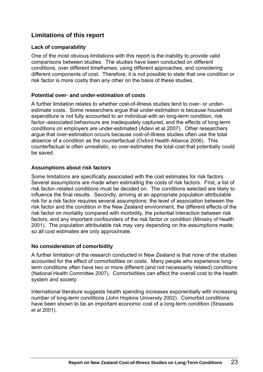# <span id="page-30-0"></span>**Limitations of this report**

#### **Lack of comparability**

One of the most obvious limitations with this report is the inability to provide valid comparisons between studies. The studies have been conducted on different conditions, over different timeframes, using different approaches, and considering different components of cost. Therefore, it is not possible to state that one condition or risk factor is more costly than any other on the basis of these studies.

#### **Potential over- and under-estimation of costs**

A further limitation relates to whether cost-of-illness studies tend to over- or underestimate costs. Some researchers argue that under-estimation is because household expenditure is not fully accounted to an individual with an long-term condition, risk factor–associated behaviours are inadequately captured, and the effects of long-term conditions on employers are under-estimated (Adevi et al 2007). Other researchers argue that over-estimation occurs because cost-of-illness studies often use the total absence of a condition as the counterfactual (Oxford Health Alliance 2006). This counterfactual is often unrealistic, so over-estimates the total cost that potentially could be saved.

#### **Assumptions about risk factors**

Some limitations are specifically associated with the cost estimates for risk factors. Several assumptions are made when estimating the costs of risk factors. First, a list of risk factor–related conditions must be decided on. The conditions selected are likely to influence the final results. Secondly, arriving at an appropriate population attributable risk for a risk factor requires several assumptions: the level of association between the risk factor and the condition in the New Zealand environment, the different effects of the risk factor on mortality compared with morbidity, the potential interaction between risk factors, and any important confounders of the risk factor or condition (Ministry of Health 2001). The population attributable risk may vary depending on the assumptions made, so all cost estimates are only approximate.

#### **No consideration of comorbidity**

A further limitation of the research conducted in New Zealand is that none of the studies accounted for the effect of comorbidities on costs. Many people who experience longterm conditions often have two or more different (and not necessarily related) conditions (National Health Committee 2007). Comorbidities can affect the overall cost to the health system and society.

International literature suggests health spending increases exponentially with increasing number of long-term conditions (John Hopkins University 2002). Comorbid conditions have been shown to be an important economic cost of a long-term condition (Strassels et al 2001).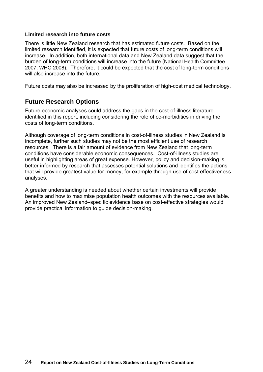#### **Limited research into future costs**

There is little New Zealand research that has estimated future costs. Based on the limited research identified, it is expected that future costs of long-term conditions will increase. In addition, both international data and New Zealand data suggest that the burden of long-term conditions will increase into the future (National Health Committee 2007; WHO 2008). Therefore, it could be expected that the cost of long-term conditions will also increase into the future.

Future costs may also be increased by the proliferation of high-cost medical technology.

### <span id="page-31-0"></span>**Future Research Options**

Future economic analyses could address the gaps in the cost-of-illness literature identified in this report, including considering the role of co-morbidities in driving the costs of long-term conditions.

Although coverage of long-term conditions in cost-of-illness studies in New Zealand is incomplete, further such studies may not be the most efficient use of research resources. There is a fair amount of evidence from New Zealand that long-term conditions have considerable economic consequences. Cost-of-illness studies are useful in highlighting areas of great expense. However, policy and decision-making is better informed by research that assesses potential solutions and identifies the actions that will provide greatest value for money, for example through use of cost effectiveness analyses.

A greater understanding is needed about whether certain investments will provide benefits and how to maximise population health outcomes with the resources available. An improved New Zealand–specific evidence base on cost-effective strategies would provide practical information to guide decision-making.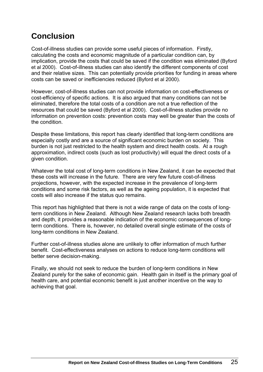# <span id="page-32-0"></span>**Conclusion**

Cost-of-illness studies can provide some useful pieces of information. Firstly, calculating the costs and economic magnitude of a particular condition can, by implication, provide the costs that could be saved if the condition was eliminated (Byford et al 2000). Cost-of-illness studies can also identify the different components of cost and their relative sizes. This can potentially provide priorities for funding in areas where costs can be saved or inefficiencies reduced (Byford et al 2000).

However, cost-of-illness studies can not provide information on cost-effectiveness or cost-efficiency of specific actions. It is also argued that many conditions can not be eliminated, therefore the total costs of a condition are not a true reflection of the resources that could be saved (Byford et al 2000). Cost-of-illness studies provide no information on prevention costs: prevention costs may well be greater than the costs of the condition.

Despite these limitations, this report has clearly identified that long-term conditions are especially costly and are a source of significant economic burden on society. This burden is not just restricted to the health system and direct health costs. At a rough approximation, indirect costs (such as lost productivity) will equal the direct costs of a given condition.

Whatever the total cost of long-term conditions in New Zealand, it can be expected that these costs will increase in the future. There are very few future cost-of-illness projections, however, with the expected increase in the prevalence of long-term conditions and some risk factors, as well as the ageing population, it is expected that costs will also increase if the status quo remains.

This report has highlighted that there is not a wide range of data on the costs of longterm conditions in New Zealand. Although New Zealand research lacks both breadth and depth, it provides a reasonable indication of the economic consequences of longterm conditions. There is, however, no detailed overall single estimate of the costs of long-term conditions in New Zealand.

Further cost-of-illness studies alone are unlikely to offer information of much further benefit. Cost-effectiveness analyses on actions to reduce long-term conditions will better serve decision-making.

Finally, we should not seek to reduce the burden of long-term conditions in New Zealand purely for the sake of economic gain. Health gain in itself is the primary goal of health care, and potential economic benefit is just another incentive on the way to achieving that goal.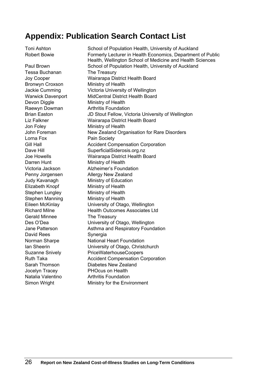# <span id="page-33-0"></span>**Appendix: Publication Search Contact List**

Tessa Buchanan The Treasury Bronwyn Croxson Ministry of Health Devon Diggle Ministry of Health Jon Foley Ministry of Health Lorna Fox Pain Society Darren Hunt Ministry of Health Elizabeth Knopf Ministry of Health Stephen Lungley Ministry of Health Stephen Manning Ministry of Health Gerald Minnee The Treasury David Rees Synergia

Toni Ashton School of Population Health, University of Auckland Robert Bowie Formerly Lecturer in Health Economics, Department of Public Health, Wellington School of Medicine and Health Sciences Paul Brown School of Population Health, University of Auckland Joy Cooper Wairarapa District Health Board Jackie Cumming Victoria University of Wellington Warwick Davenport MidCentral District Health Board Raewyn Dowman **Arthritis Foundation** Brian Easton JD Stout Fellow, Victoria University of Wellington Liz Falkner Wairarapa District Health Board John Foreman New Zealand Organisation for Rare Disorders Gill Hall **Accident Compensation Corporation** Dave Hill SuperficialSiderosis.org.nz Joe Howells Wairarapa District Health Board Victoria Jackson Alzheimer's Foundation Penny Jorgensen Allergy New Zealand Judy Kavanagh Ministry of Education Eileen McKinlay University of Otago, Wellington Richard Milne **Health Outcomes Associates Ltd** Des O'Dea University of Otago, Wellington Jane Patterson Asthma and Respiratory Foundation Norman Sharpe **National Heart Foundation** Ian Sheerin University of Otago, Christchurch Suzanne Snively PriceWaterhouseCoopers Ruth Taka **Accident Compensation Corporation** Sarah Thomson Diabetes New Zealand Jocelyn Tracey PHOcus on Health Natalia Valentino **Arthritis Foundation** Simon Wright Ministry for the Environment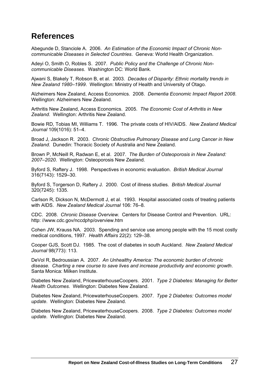# <span id="page-34-0"></span>**References**

Abegunde D, Stanciole A. 2006. *An Estimation of the Economic Impact of Chronic Noncommunicable Diseases in Selected Countries*. Geneva: World Health Organization.

Adeyi O, Smith O, Robles S. 2007. *Public Policy and the Challenge of Chronic Noncommunicable Diseases*. Washington DC: World Bank.

Ajwani S, Blakely T, Robson B, et al. 2003. *Decades of Disparity: Ethnic mortality trends in New Zealand 1980–1999*. Wellington: Ministry of Health and University of Otago.

Alzheimers New Zealand, Access Economics. 2008. *Dementia Economic Impact Report 2008*. Wellington: Alzheimers New Zealand.

Arthritis New Zealand, Access Economics. 2005. *The Economic Cost of Arthritis in New Zealand*. Wellington: Arthritis New Zealand.

Bowie RD, Tobias MI, Williams T. 1996. The private costs of HIV/AIDS. *New Zealand Medical Journal* 109(1016): 51*–*4.

Broad J, Jackson R. 2003. *Chronic Obstructive Pulmonary Disease and Lung Cancer in New Zealand*. Dunedin: Thoracic Society of Australia and New Zealand.

Brown P, McNeill R, Radwan E, et al. 2007. *The Burden of Osteoporosis in New Zealand: 2007–2020*. Wellington: Osteoporosis New Zealand.

Byford S, Raftery J. 1998. Perspectives in economic evaluation. *British Medical Journal* 316(7143): 1529*–*30.

Byford S, Torgerson D, Raftery J. 2000. Cost of illness studies. *British Medical Journal* 320(7245): 1335.

Carlson R, Dickson N, McDermott J, et al. 1993. Hospital associated costs of treating patients with AIDS. *New Zealand Medical Journal* 106: 76*–*8.

CDC. 2008. *Chronic Disease Overview.* Centers for Disease Control and Prevention. URL: http: //www.cdc.gov/nccdphp/overview.htm

Cohen JW, Krauss NA. 2003. Spending and service use among people with the 15 most costly medical conditions, 1997. *Health Affairs* 22(2): 129*–*38.

Cooper GJS, Scott DJ. 1985. The cost of diabetes in south Auckland. *New Zealand Medical Journal* 98(773): 113.

DeVol R, Bedroussian A. 2007. *An Unhealthy America: The economic burden of chronic disease. Charting a new course to save lives and increase productivity and economic growth*. Santa Monica: Milken Institute.

Diabetes New Zealand, PricewaterhouseCoopers. 2001. *Type 2 Diabetes: Managing for Better Health Outcomes*. Wellington: Diabetes New Zealand.

Diabetes New Zealand, PricewaterhouseCoopers. 2007. *Type 2 Diabetes: Outcomes model update*. Wellington: Diabetes New Zealand.

Diabetes New Zealand, PricewaterhouseCoopers. 2008. *Type 2 Diabetes: Outcomes model update*. Wellington: Diabetes New Zealand.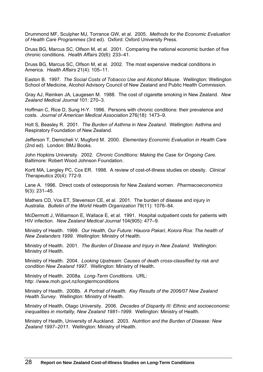Drummond MF, Sculpher MJ, Torrance GW, et al. 2005. *Methods for the Economic Evaluation of Health Care Programmes* (3rd ed). Oxford: Oxford University Press.

Druss BG, Marcus SC, Olfson M, et al. 2001. Comparing the national economic burden of five chronic conditions. *Health Affairs* 20(6): 233*–*41.

Druss BG, Marcus SC, Olfson M, et al. 2002. The most expensive medical conditions in America. *Health Affairs* 21(4): 105*–*11.

Easton B. 1997. *The Social Costs of Tobacco Use and Alcohol Misuse*. Wellington: Wellington School of Medicine, Alcohol Advisory Council of New Zealand and Public Health Commission.

Gray AJ, Reinken JA, Laugesen M. 1988. The cost of cigarette smoking in New Zealand. *New Zealand Medical Journal* 101: 270–3.

Hoffman C, Rice D, Sung H-Y. 1996. Persons with chronic conditions: their prevalence and costs. *Journal of American Medical Association* 276(18): 1473*–*9.

Holt S, Beasley R. 2001. *The Burden of Asthma in New Zealand*. Wellington: Asthma and Respiratory Foundation of New Zealand.

Jefferson T, Demicheli V, Mugford M. 2000. *Elementary Economic Evaluation in Health Care*  (2nd ed). London: BMJ Books.

John Hopkins University. 2002. *Chronic Conditions: Making the Case for Ongoing Care*. Baltimore: Robert Wood Johnson Foundation.

Kortt MA, Langley PC, Cox ER. 1998. A review of cost-of-illness studies on obesity. *Clinical Therapeutics* 20(4): 772-9.

Lane A. 1996. Direct costs of osteoporosis for New Zealand women. *Pharmacoeconomics* 9(3): 231*–*45.

Mathers CD, Vos ET, Stevenson CE, et al. 2001. The burden of disease and injury in Australia. *Bulletin of the World Health Organization* 79(11): 1076*–*84.

McDermott J, Williamson E, Wallace E, et al. 1991. Hospital outpatient costs for patients with HIV infection. *New Zealand Medical Journal* 104(905): 477*–*9.

Ministry of Health. 1999. *Our Health, Our Future: Hauora Pakari, Koiora Roa: The health of New Zealanders 1999*. Wellington: Ministry of Health.

Ministry of Health. 2001. *The Burden of Disease and Injury in New Zealand*. Wellington: Ministry of Health.

Ministry of Health. 2004. *Looking Upstream: Causes of death cross-classified by risk and condition New Zealand 1997*. Wellington: Ministry of Health.

Ministry of Health. 2008a. *Long-Term Conditions*. URL: http: //www.moh.govt.nz/longtermconditions

Ministry of Health. 2008b. *A Portrait of Health. Key Results of the 2006/07 New Zealand Health Survey*. Wellington: Ministry of Health.

Ministry of Health, Otago University. 2006. *Decades of Disparity III: Ethnic and socioeconomic inequalities in mortality, New Zealand 1981–1999*. Wellington: Ministry of Health.

Ministry of Health, University of Auckland. 2003. *Nutrition and the Burden of Disease: New Zealand 1997–2011*. Wellington: Ministry of Health.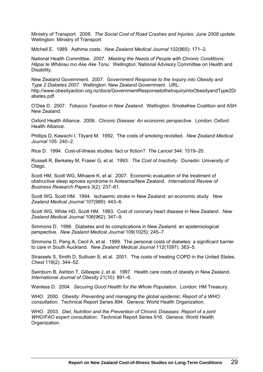Ministry of Transport. 2008. *The Social Cost of Road Crashes and Injuries: June 2008 update*. Wellington: Ministry of Transport.

Mitchell E. 1989. Asthma costs. *New Zealand Medical Journal* 102(865): 171*–*2.

National Health Committee. 2007. *Meeting the Needs of People with Chronic Conditions: Hāpai te Whānau mo Ake Ake Tonu.* Wellington: National Advisory Committee on Health and Disability.

New Zealand Government. 2007. *Government Response to the Inquiry into Obesity and Type 2 Diabetes 2007*. Wellington: New Zealand Government. URL: http://www.obesityaction.org.nz/docs/GovernmentResponsetotheInquiryintoObesityandType2Di abetes.pdf

O'Dea D. 2007. *Tobacco Taxation in New Zealand*. Wellington: Smokefree Coalition and ASH New Zealand.

Oxford Health Alliance. 2006. *Chronic Disease: An economic perspective*. London: Oxford Health Alliance.

Phillips D, Kawachi I, Tilyard M. 1992. The costs of smoking revisited. *New Zealand Medical Journal* 105: 240–2.

Rice D. 1994. Cost-of-illness studies: fact or fiction? *The Lancet* 344: 1519*–*20.

Russell R, Berkeley M, Fraser G, et al. 1993. *The Cost of Inactivity*. Dunedin: University of Otago.

Scott HM, Scott WG, Mihaere K, et al. 2007. Economic evaluation of the treatment of obstructive sleep apnoea syndrome in Aotearoa/New Zealand. *International Review of Business Research Papers* 3(2): 237*–*61.

Scott WG, Scott HM. 1994. Ischaemic stroke in New Zealand: an economic study. *New Zealand Medical Journal* 107(989): 443*–*6.

Scott WG, White HD, Scott HM. 1993. Cost of coronary heart disease in New Zealand. *New Zealand Medical Journal* 106(962): 347*–*9.

Simmons D. 1996. Diabetes and its complications in New Zealand: an epidemiological perspective. *New Zealand Medical Journal* 109(1025): 245*–*7.

Simmons D, Peng A, Cecil A, et al. 1999. The personal costs of diabetes: a significant barrier to care in South Auckland. *New Zealand Medical Journal* 112(1097): 383*–*5.

Strassels S, Smith D, Sullivan S, et al. 2001. The costs of treating COPD in the United States. *Chest* 119(2): 344–52.

Swinburn B, Ashton T, Gillespie J, et al. 1997. Health care costs of obesity in New Zealand. *International Journal of Obesity* 21(10): 891*–*6.

Wanless D. 2004. *Securing Good Health for the Whole Population*. London: HM Treasury.

WHO. 2000. *Obesity: Preventing and managing the global epidemic: Report of a WHO consultation*. Technical Report Series 894. Geneva: World Health Organization.

WHO. 2003. *Diet, Nutrition and the Prevention of Chronic Diseases: Report of a joint WHO/FAO expert consultation*. Technical Report Series 916. Geneva: World Health Organization.